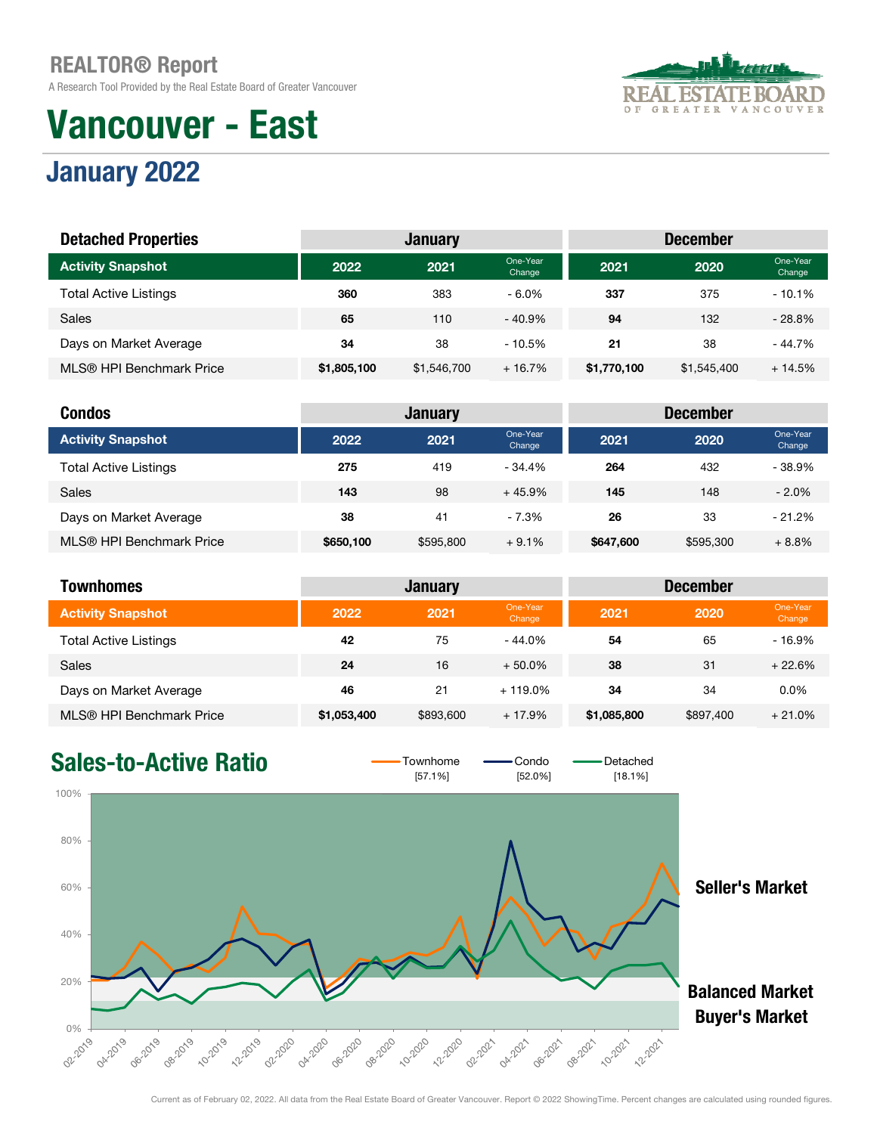A Research Tool Provided by the Real Estate Board of Greater Vancouver

# Vancouver - East

#### FA ESTAT RD GREATER **VER** O F  $\overline{A}$ N c o u

# January 2022

| <b>Detached Properties</b>   |             | <b>January</b> |                    |             | <b>December</b> |                    |
|------------------------------|-------------|----------------|--------------------|-------------|-----------------|--------------------|
| <b>Activity Snapshot</b>     | 2022        | 2021           | One-Year<br>Change | 2021        | 2020            | One-Year<br>Change |
| <b>Total Active Listings</b> | 360         | 383            | $-6.0\%$           | 337         | 375             | $-10.1%$           |
| Sales                        | 65          | 110            | - 40.9%            | 94          | 132             | $-28.8\%$          |
| Days on Market Average       | 34          | 38             | $-10.5%$           | 21          | 38              | $-44.7%$           |
| MLS® HPI Benchmark Price     | \$1,805,100 | \$1,546,700    | $+16.7%$           | \$1,770,100 | \$1,545,400     | $+14.5%$           |

| <b>Condos</b>                |           | <b>January</b> |                    |           | <b>December</b> |                    |
|------------------------------|-----------|----------------|--------------------|-----------|-----------------|--------------------|
| <b>Activity Snapshot</b>     | 2022      | 2021           | One-Year<br>Change | 2021      | 2020            | One-Year<br>Change |
| <b>Total Active Listings</b> | 275       | 419            | $-34.4%$           | 264       | 432             | $-38.9%$           |
| <b>Sales</b>                 | 143       | 98             | $+45.9%$           | 145       | 148             | $-2.0%$            |
| Days on Market Average       | 38        | 41             | - 7.3%             | 26        | 33              | $-21.2%$           |
| MLS® HPI Benchmark Price     | \$650,100 | \$595,800      | $+9.1%$            | \$647,600 | \$595,300       | $+8.8%$            |

| <b>Townhomes</b>             |             | <b>January</b> |                    |             | <b>December</b> |                    |
|------------------------------|-------------|----------------|--------------------|-------------|-----------------|--------------------|
| <b>Activity Snapshot</b>     | 2022        | 2021           | One-Year<br>Change | 2021        | 2020            | One-Year<br>Change |
| <b>Total Active Listings</b> | 42          | 75             | $-44.0%$           | 54          | 65              | $-16.9%$           |
| <b>Sales</b>                 | 24          | 16             | $+50.0\%$          | 38          | 31              | $+22.6%$           |
| Days on Market Average       | 46          | 21             | $+119.0\%$         | 34          | 34              | 0.0%               |
| MLS® HPI Benchmark Price     | \$1,053,400 | \$893,600      | $+17.9%$           | \$1,085,800 | \$897,400       | $+21.0%$           |

### Sales-to-Active Ratio  $\overline{\phantom{0}}$   $\overline{\phantom{0}}$   $\overline{\phantom{0}}$   $\overline{\phantom{0}}$   $\overline{\phantom{0}}$   $\overline{\phantom{0}}$   $\overline{\phantom{0}}$   $\overline{\phantom{0}}$   $\overline{\phantom{0}}$   $\overline{\phantom{0}}$   $\overline{\phantom{0}}$   $\overline{\phantom{0}}$   $\overline{\phantom{0}}$   $\overline{\phantom{0}}$   $\overline{\phantom{0}}$   $\overline{\phantom{0}}$   $\overline{\phantom$

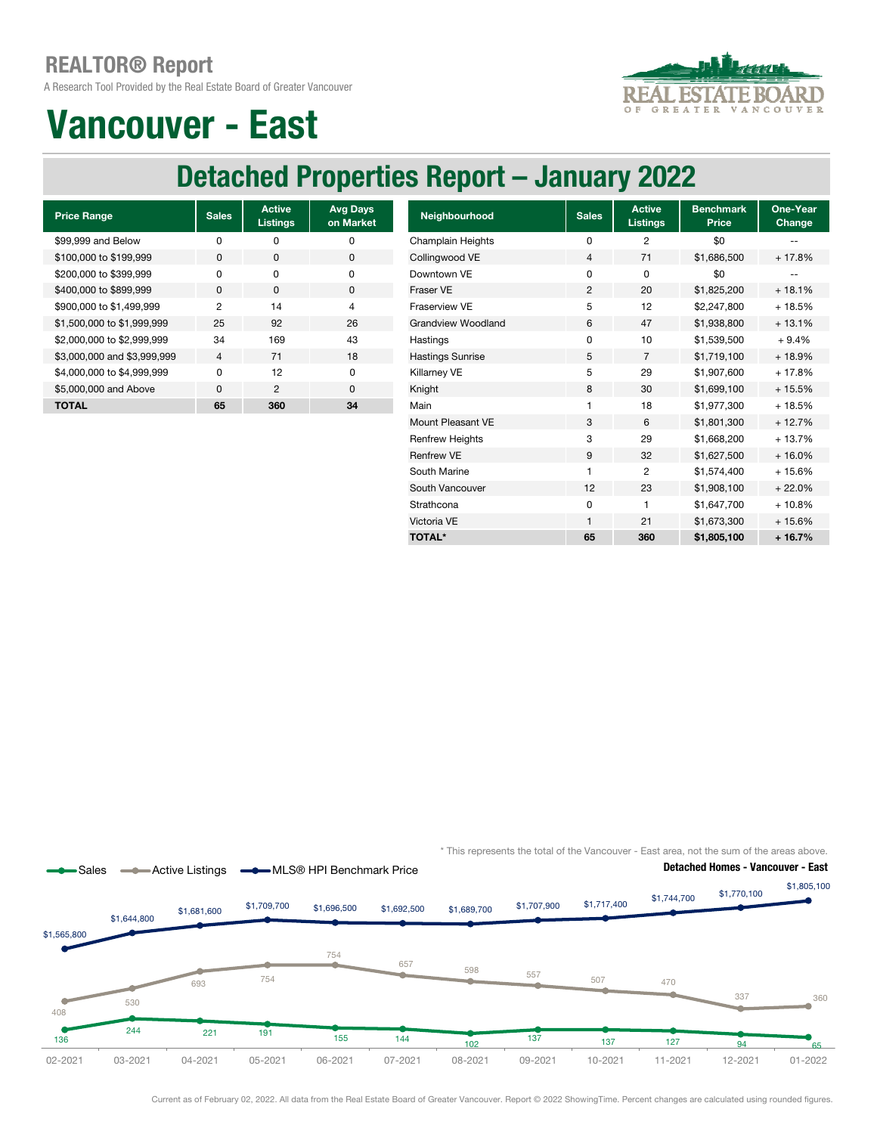A Research Tool Provided by the Real Estate Board of Greater Vancouver



# Vancouver - East

## Detached Properties Report – January 2022

| <b>Price Range</b>          | <b>Sales</b>             | <b>Active</b><br><b>Listings</b> | <b>Avg Days</b><br>on Market |
|-----------------------------|--------------------------|----------------------------------|------------------------------|
| \$99,999 and Below          | ŋ                        | ŋ                                | ŋ                            |
| \$100,000 to \$199,999      | 0                        | $\Omega$                         | O                            |
| \$200,000 to \$399,999      | O                        | <sup>n</sup>                     | O                            |
| \$400,000 to \$899,999      | $\Omega$                 | <sup>0</sup>                     | <sup>0</sup>                 |
| \$900,000 to \$1,499,999    | 2                        | 14                               | 4                            |
| \$1,500,000 to \$1,999,999  | 25                       | 92                               | 26                           |
| \$2,000,000 to \$2,999,999  | 34                       | 169                              | 43                           |
| \$3,000,000 and \$3,999,999 | $\overline{\mathcal{A}}$ | 71                               | 18                           |
| \$4,000,000 to \$4,999,999  | O                        | 12                               | O                            |
| \$5,000,000 and Above       | $\Omega$                 | $\mathfrak{p}$                   | $\Omega$                     |
| TOTAL                       | 65                       | 360                              | 34                           |

| <b>Price Range</b>          | <b>Sales</b>   | <b>Active</b><br><b>Listings</b> | <b>Avg Days</b><br>on Market | Neighbourhood             | <b>Sales</b> | <b>Active</b><br><b>Listings</b> | <b>Benchmark</b><br>Price | One-Year<br>Change |
|-----------------------------|----------------|----------------------------------|------------------------------|---------------------------|--------------|----------------------------------|---------------------------|--------------------|
| \$99,999 and Below          | 0              | 0                                | 0                            | Champlain Heights         | 0            | 2                                | \$0                       |                    |
| \$100,000 to \$199,999      | 0              | $\mathbf 0$                      | 0                            | Collingwood VE            | 4            | 71                               | \$1,686,500               | $+17.8%$           |
| \$200,000 to \$399,999      | 0              | $\mathbf 0$                      | 0                            | Downtown VE               | 0            | 0                                | \$0                       |                    |
| \$400,000 to \$899,999      | $\mathbf 0$    | 0                                | 0                            | Fraser VE                 | 2            | 20                               | \$1,825,200               | $+18.1%$           |
| \$900,000 to \$1,499,999    | 2              | 14                               | 4                            | Fraserview VE             | 5            | 12                               | \$2,247,800               | $+18.5%$           |
| \$1,500,000 to \$1,999,999  | 25             | 92                               | 26                           | <b>Grandview Woodland</b> | 6            | 47                               | \$1,938,800               | $+13.1%$           |
| \$2,000,000 to \$2,999,999  | 34             | 169                              | 43                           | Hastings                  | 0            | 10                               | \$1,539,500               | $+9.4%$            |
| \$3,000,000 and \$3,999,999 | $\overline{4}$ | 71                               | 18                           | <b>Hastings Sunrise</b>   | 5            | $\overline{7}$                   | \$1,719,100               | $+18.9%$           |
| \$4,000,000 to \$4,999,999  | 0              | 12                               | 0                            | Killarney VE              | 5            | 29                               | \$1,907,600               | $+17.8%$           |
| \$5,000,000 and Above       | $\mathbf{0}$   | $\overline{2}$                   | 0                            | Knight                    | 8            | 30                               | \$1,699,100               | $+15.5%$           |
| <b>TOTAL</b>                | 65             | 360                              | 34                           | Main                      | 1            | 18                               | \$1,977,300               | + 18.5%            |
|                             |                |                                  |                              | Mount Pleasant VE         | 3            | 6                                | \$1,801,300               | $+12.7%$           |
|                             |                |                                  |                              | <b>Renfrew Heights</b>    | 3            | 29                               | \$1,668,200               | $+13.7%$           |
|                             |                |                                  |                              | <b>Renfrew VE</b>         | 9            | 32                               | \$1,627,500               | $+16.0%$           |
|                             |                |                                  |                              | South Marine              | 1            | $\overline{2}$                   | \$1,574,400               | $+15.6%$           |
|                             |                |                                  |                              | South Vancouver           | 12           | 23                               | \$1,908,100               | $+22.0%$           |
|                             |                |                                  |                              | Strathcona                | 0            |                                  | \$1,647,700               | $+10.8%$           |
|                             |                |                                  |                              | Victoria VE               | 1            | 21                               | \$1,673,300               | $+15.6%$           |
|                             |                |                                  |                              | <b>TOTAL*</b>             | 65           | 360                              | \$1,805,100               | $+16.7%$           |

\* This represents the total of the Vancouver - East area, not the sum of the areas above.



Current as of February 02, 2022. All data from the Real Estate Board of Greater Vancouver. Report © 2022 ShowingTime. Percent changes are calculated using rounded figures.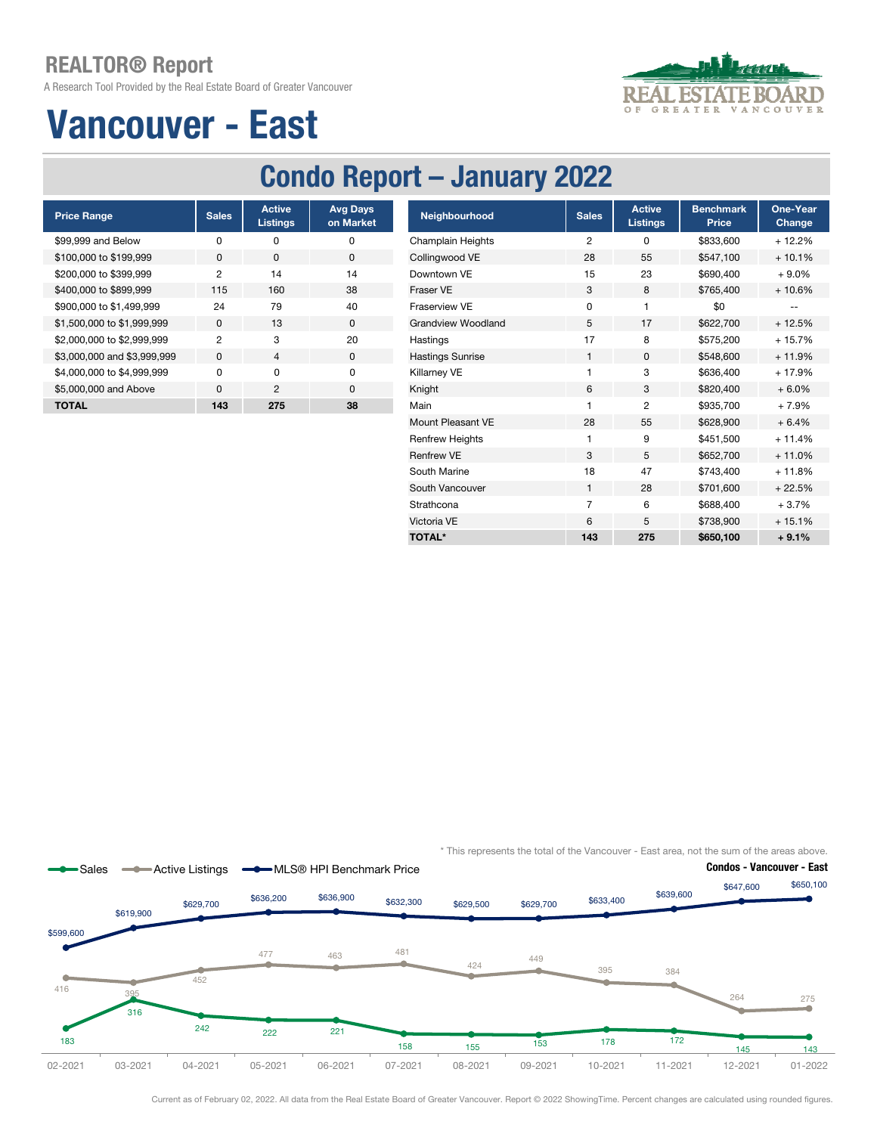A Research Tool Provided by the Real Estate Board of Greater Vancouver

# Vancouver - East



## Condo Report – January 2022

| <b>Price Range</b>          | <b>Sales</b> | <b>Active</b><br><b>Listings</b> | <b>Avg Days</b><br>on Market |
|-----------------------------|--------------|----------------------------------|------------------------------|
| \$99,999 and Below          | n            | ŋ                                | O                            |
| \$100,000 to \$199,999      | <sup>0</sup> | <sup>0</sup>                     | <sup>0</sup>                 |
| \$200,000 to \$399,999      | 2            | 14                               | 14                           |
| \$400,000 to \$899,999      | 115          | 160                              | 38                           |
| \$900,000 to \$1,499,999    | 24           | 79                               | 40                           |
| \$1,500,000 to \$1,999,999  | <sup>0</sup> | 13                               | $\Omega$                     |
| \$2,000,000 to \$2,999,999  | 2            | 3                                | 20                           |
| \$3,000,000 and \$3,999,999 | $\Omega$     | 4                                | $\Omega$                     |
| \$4,000,000 to \$4,999,999  | n            | O                                | O                            |
| \$5,000,000 and Above       | $\Omega$     | 2                                | $\Omega$                     |
| TOTAL                       | 143          | 275                              | 38                           |

| <b>Price Range</b>          | <b>Sales</b>   | <b>Active</b><br><b>Listings</b> | <b>Avg Days</b><br>on Market | Neighbourhood             | <b>Sales</b>   | <b>Active</b><br><b>Listings</b> | <b>Benchmark</b><br>Price | One-Year<br><b>Change</b> |
|-----------------------------|----------------|----------------------------------|------------------------------|---------------------------|----------------|----------------------------------|---------------------------|---------------------------|
| \$99.999 and Below          | $\mathbf 0$    | 0                                | 0                            | <b>Champlain Heights</b>  | $\overline{c}$ | 0                                | \$833,600                 | $+12.2%$                  |
| \$100,000 to \$199,999      | $\mathbf{0}$   | 0                                | $\mathbf{0}$                 | Collingwood VE            | 28             | 55                               | \$547,100                 | $+10.1%$                  |
| \$200,000 to \$399,999      | $\overline{2}$ | 14                               | 14                           | Downtown VE               | 15             | 23                               | \$690,400                 | $+9.0%$                   |
| \$400,000 to \$899,999      | 115            | 160                              | 38                           | Fraser VE                 | 3              | 8                                | \$765,400                 | $+10.6%$                  |
| \$900,000 to \$1,499,999    | 24             | 79                               | 40                           | Fraserview VE             | $\mathbf 0$    |                                  | \$0                       | $\overline{\phantom{m}}$  |
| \$1,500,000 to \$1,999,999  | 0              | 13                               | $\mathbf{0}$                 | <b>Grandview Woodland</b> | 5              | 17                               | \$622,700                 | $+12.5%$                  |
| \$2,000,000 to \$2,999,999  | $\overline{c}$ | 3                                | 20                           | Hastings                  | 17             | 8                                | \$575,200                 | $+15.7%$                  |
| \$3,000,000 and \$3,999,999 | 0              | $\overline{4}$                   | 0                            | <b>Hastings Sunrise</b>   | 1              | $\mathbf 0$                      | \$548,600                 | $+11.9%$                  |
| \$4,000,000 to \$4,999,999  | $\mathbf 0$    | $\mathbf 0$                      | $\mathbf 0$                  | Killarney VE              |                | 3                                | \$636,400                 | $+17.9%$                  |
| \$5,000,000 and Above       | $\mathbf 0$    | $\overline{2}$                   | $\mathbf 0$                  | Knight                    | 6              | 3                                | \$820,400                 | $+6.0%$                   |
| <b>TOTAL</b>                | 143            | 275                              | 38                           | Main                      |                | $\overline{2}$                   | \$935,700                 | $+7.9%$                   |
|                             |                |                                  |                              | Mount Pleasant VE         | 28             | 55                               | \$628,900                 | $+6.4%$                   |
|                             |                |                                  |                              | <b>Renfrew Heights</b>    | 1              | 9                                | \$451,500                 | $+11.4%$                  |
|                             |                |                                  |                              | <b>Renfrew VE</b>         | 3              | 5                                | \$652,700                 | $+11.0%$                  |
|                             |                |                                  |                              | South Marine              | 18             | 47                               | \$743,400                 | $+11.8%$                  |
|                             |                |                                  |                              | South Vancouver           | $\mathbf{1}$   | 28                               | \$701,600                 | $+22.5%$                  |
|                             |                |                                  |                              | Strathcona                | $\overline{7}$ | 6                                | \$688,400                 | $+3.7%$                   |
|                             |                |                                  |                              | Victoria VE               | 6              | 5                                | \$738,900                 | $+15.1%$                  |
|                             |                |                                  |                              | <b>TOTAL*</b>             | 143            | 275                              | \$650,100                 | $+9.1%$                   |

\* This represents the total of the Vancouver - East area, not the sum of the areas above.



Current as of February 02, 2022. All data from the Real Estate Board of Greater Vancouver. Report © 2022 ShowingTime. Percent changes are calculated using rounded figures.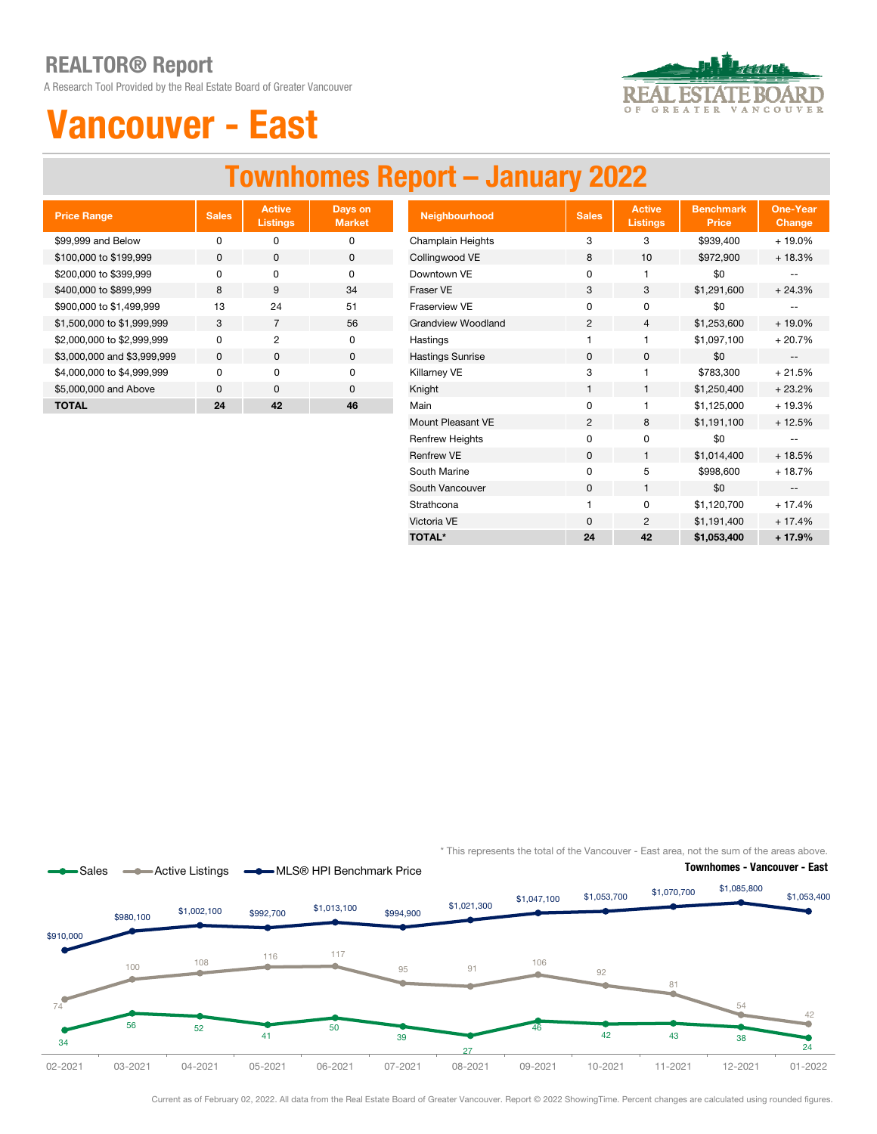A Research Tool Provided by the Real Estate Board of Greater Vancouver



# Vancouver - East

# Townhomes Report – January 2022

| <b>Price Range</b>          | <b>Sales</b> | <b>Active</b><br><b>Listings</b> | Days on<br><b>Market</b> |
|-----------------------------|--------------|----------------------------------|--------------------------|
| \$99,999 and Below          | ŋ            | ŋ                                | O                        |
| \$100,000 to \$199,999      | O            | $\Omega$                         | O                        |
| \$200,000 to \$399,999      | n            | O                                | O                        |
| \$400,000 to \$899,999      | 8            | 9                                | 34                       |
| \$900,000 to \$1,499,999    | 13           | 24                               | 51                       |
| \$1,500,000 to \$1,999,999  | 3            | 7                                | 56                       |
| \$2,000,000 to \$2,999,999  | n            | 2                                | ŋ                        |
| \$3,000,000 and \$3,999,999 | $\Omega$     | O                                | 0                        |
| \$4,000,000 to \$4,999,999  | n            | O                                | O                        |
| \$5,000,000 and Above       | $\Omega$     | $\Omega$                         | $\Omega$                 |
| <b>TOTAL</b>                | 24           | 42                               | 46                       |

| <b>Price Range</b>          | <b>Sales</b> | <b>Active</b><br>Listings | Days on<br><b>Market</b> | <b>Neighbourhood</b>      | <b>Sales</b>   | <b>Active</b><br><b>Listings</b> | <b>Benchmark</b><br><b>Price</b> | <b>One-Year</b><br>Change |
|-----------------------------|--------------|---------------------------|--------------------------|---------------------------|----------------|----------------------------------|----------------------------------|---------------------------|
| \$99.999 and Below          | $\mathbf 0$  | $\mathbf 0$               | $\mathbf 0$              | Champlain Heights         | 3              | 3                                | \$939,400                        | $+19.0%$                  |
| \$100,000 to \$199,999      | 0            | 0                         | $\mathbf 0$              | Collingwood VE            | 8              | 10                               | \$972,900                        | $+18.3%$                  |
| \$200,000 to \$399,999      | $\Omega$     | $\mathbf 0$               | $\mathbf 0$              | Downtown VE               | 0              | 1                                | \$0                              |                           |
| \$400,000 to \$899,999      | 8            | 9                         | 34                       | Fraser VE                 | 3              | 3                                | \$1,291,600                      | $+24.3%$                  |
| \$900,000 to \$1,499,999    | 13           | 24                        | 51                       | Fraserview VE             | $\Omega$       | 0                                | \$0                              | --                        |
| \$1,500,000 to \$1,999,999  | 3            | $\overline{7}$            | 56                       | <b>Grandview Woodland</b> | $\overline{c}$ | 4                                | \$1,253,600                      | $+19.0%$                  |
| \$2,000,000 to \$2,999,999  | 0            | $\overline{c}$            | $\mathbf 0$              | Hastings                  |                |                                  | \$1,097,100                      | $+20.7%$                  |
| \$3,000,000 and \$3,999,999 | $\mathbf 0$  | $\mathbf 0$               | $\mathbf 0$              | <b>Hastings Sunrise</b>   | $\mathbf 0$    | 0                                | \$0                              | $\overline{\phantom{a}}$  |
| \$4,000,000 to \$4,999,999  | 0            | 0                         | 0                        | Killarney VE              | 3              | 1                                | \$783,300                        | $+21.5%$                  |
| \$5,000,000 and Above       | $\mathbf 0$  | $\mathbf 0$               | 0                        | Knight                    | $\mathbf{1}$   | $\mathbf{1}$                     | \$1,250,400                      | $+23.2%$                  |
| <b>TOTAL</b>                | 24           | 42                        | 46                       | Main                      | 0              |                                  | \$1,125,000                      | $+19.3%$                  |
|                             |              |                           |                          | Mount Pleasant VE         | 2              | 8                                | \$1,191,100                      | $+12.5%$                  |
|                             |              |                           |                          | <b>Renfrew Heights</b>    | 0              | 0                                | \$0                              | $\overline{\phantom{a}}$  |
|                             |              |                           |                          | <b>Renfrew VE</b>         | $\mathbf 0$    | $\mathbf{1}$                     | \$1,014,400                      | $+18.5%$                  |
|                             |              |                           |                          | South Marine              | 0              | 5                                | \$998,600                        | $+18.7%$                  |
|                             |              |                           |                          | South Vancouver           | $\mathbf 0$    |                                  | \$0                              | $\overline{\phantom{a}}$  |
|                             |              |                           |                          | Strathcona                |                | 0                                | \$1,120,700                      | $+17.4%$                  |
|                             |              |                           |                          | Victoria VE               | $\mathbf 0$    | $\overline{c}$                   | \$1,191,400                      | $+17.4%$                  |
|                             |              |                           |                          | <b>TOTAL*</b>             | 24             | 42                               | \$1,053,400                      | $+17.9%$                  |

\* This represents the total of the Vancouver - East area, not the sum of the areas above.



Current as of February 02, 2022. All data from the Real Estate Board of Greater Vancouver. Report © 2022 ShowingTime. Percent changes are calculated using rounded figures.